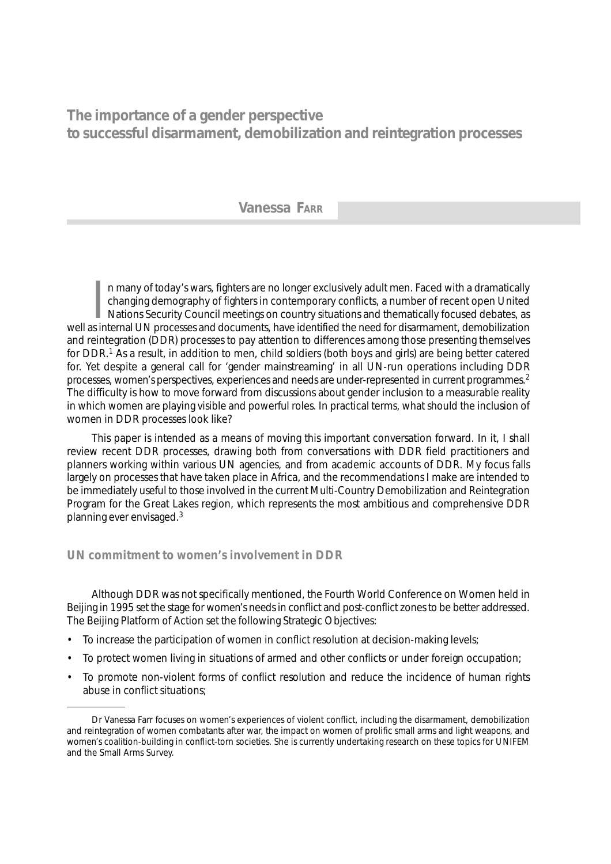# **The importance of a gender perspective to successful disarmament, demobilization and reintegration processes**

## **Vanessa FARR**

 $\prod_{\mathbf{s} \text{ in }}$ n many of today's wars, fighters are no longer exclusively adult men. Faced with a dramatically changing demography of fighters in contemporary conflicts, a number of recent open United Nations Security Council meetings on country situations and thematically focused debates, as well as internal UN processes and documents, have identified the need for disarmament, demobilization and reintegration (DDR) processes to pay attention to differences among those presenting themselves for DDR.1 As a result, in addition to men, child soldiers (both boys and girls) are being better catered for. Yet despite a general call for 'gender mainstreaming' in all UN-run operations including DDR processes, women's perspectives, experiences and needs are under-represented in current programmes.2 The difficulty is how to move forward from discussions about gender inclusion to a measurable reality in which women are playing visible and powerful roles. In practical terms, what should the inclusion of women in DDR processes look like?

This paper is intended as a means of moving this important conversation forward. In it, I shall review recent DDR processes, drawing both from conversations with DDR field practitioners and planners working within various UN agencies, and from academic accounts of DDR. My focus falls largely on processes that have taken place in Africa, and the recommendations I make are intended to be immediately useful to those involved in the current Multi-Country Demobilization and Reintegration Program for the Great Lakes region, which represents the most ambitious and comprehensive DDR planning ever envisaged.3

## *UN commitment to women's involvement in DDR*

Although DDR was not specifically mentioned, the Fourth World Conference on Women held in Beijing in 1995 set the stage for women's needs in conflict and post-conflict zones to be better addressed. The Beijing Platform of Action set the following Strategic Objectives:

- To increase the participation of women in conflict resolution at decision-making levels;
- To protect women living in situations of armed and other conflicts or under foreign occupation;
- To promote non-violent forms of conflict resolution and reduce the incidence of human rights abuse in conflict situations;

Dr Vanessa Farr focuses on women's experiences of violent conflict, including the disarmament, demobilization and reintegration of women combatants after war, the impact on women of prolific small arms and light weapons, and women's coalition-building in conflict-torn societies. She is currently undertaking research on these topics for UNIFEM and the Small Arms Survey.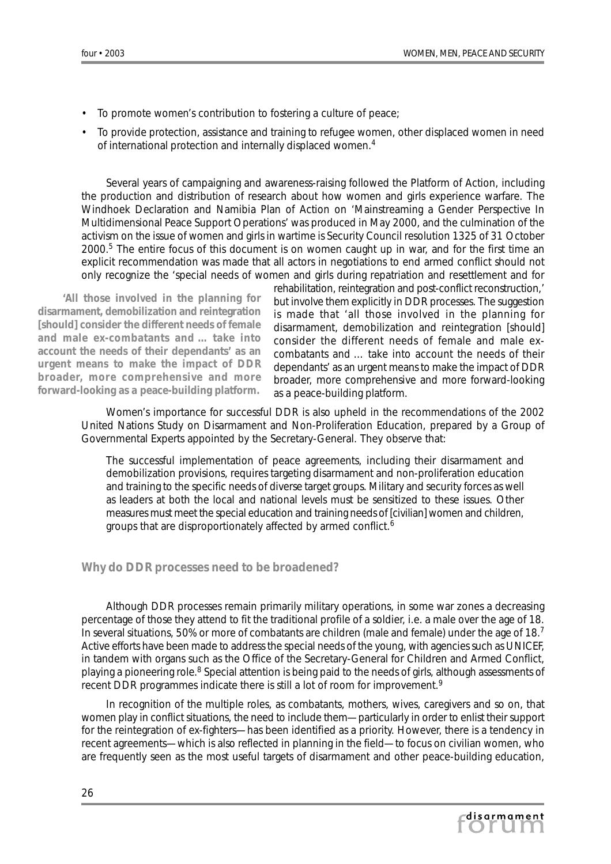- To promote women's contribution to fostering a culture of peace;
- To provide protection, assistance and training to refugee women, other displaced women in need of international protection and internally displaced women.4

Several years of campaigning and awareness-raising followed the Platform of Action, including the production and distribution of research about how women and girls experience warfare. The Windhoek Declaration and Namibia Plan of Action on 'Mainstreaming a Gender Perspective In Multidimensional Peace Support Operations' was produced in May 2000, and the culmination of the activism on the issue of women and girls in wartime is Security Council resolution 1325 of 31 October 2000.5 The entire focus of this document is on women caught up in war, and for the first time an explicit recommendation was made that all actors in negotiations to end armed conflict should not only recognize the 'special needs of women and girls during repatriation and resettlement and for

*'All those involved in the planning for disarmament, demobilization and reintegration [should] consider the different needs of female and male ex-combatants and … take into account the needs of their dependants' as an urgent means to make the impact of DDR broader, more comprehensive and more forward-looking as a peace-building platform.*

rehabilitation, reintegration and post-conflict reconstruction,' but involve them explicitly in DDR processes. The suggestion is made that 'all those involved in the planning for disarmament, demobilization and reintegration [should] consider the different needs of female and male excombatants and … take into account the needs of their dependants' as an urgent means to make the impact of DDR broader, more comprehensive and more forward-looking as a peace-building platform.

Women's importance for successful DDR is also upheld in the recommendations of the 2002 United Nations Study on Disarmament and Non-Proliferation Education, prepared by a Group of Governmental Experts appointed by the Secretary-General. They observe that:

The successful implementation of peace agreements, including their disarmament and demobilization provisions, requires targeting disarmament and non-proliferation education and training to the specific needs of diverse target groups. Military and security forces as well as leaders at both the local and national levels must be sensitized to these issues. Other measures must meet the special education and training needs of [civilian] women and children, groups that are disproportionately affected by armed conflict.<sup>6</sup>

#### *Why do DDR processes need to be broadened?*

Although DDR processes remain primarily military operations, in some war zones a decreasing percentage of those they attend to fit the traditional profile of a soldier, i.e. a male over the age of 18. In several situations, 50% or more of combatants are children (male and female) under the age of 18.7 Active efforts have been made to address the special needs of the young, with agencies such as UNICEF, in tandem with organs such as the Office of the Secretary-General for Children and Armed Conflict, playing a pioneering role.<sup>8</sup> Special attention is being paid to the needs of girls, although assessments of recent DDR programmes indicate there is still a lot of room for improvement.<sup>9</sup>

In recognition of the multiple roles, as combatants, mothers, wives, caregivers and so on, that women play in conflict situations, the need to include them—particularly in order to enlist their support for the reintegration of ex-fighters—has been identified as a priority. However, there is a tendency in recent agreements—which is also reflected in planning in the field—to focus on civilian women, who are frequently seen as the most useful targets of disarmament and other peace-building education,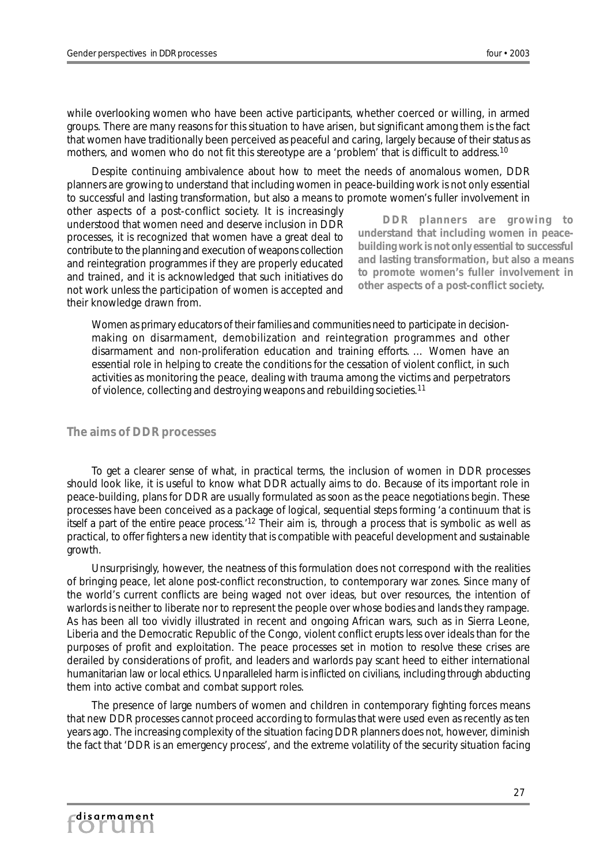while overlooking women who have been active participants, whether coerced or willing, in armed groups. There are many reasons for this situation to have arisen, but significant among them is the fact that women have traditionally been perceived as peaceful and caring, largely because of their status as mothers, and women who do not fit this stereotype are a 'problem' that is difficult to address.<sup>10</sup>

Despite continuing ambivalence about how to meet the needs of anomalous women, DDR planners are growing to understand that including women in peace-building work is not only essential to successful and lasting transformation, but also a means to promote women's fuller involvement in

other aspects of a post-conflict society. It is increasingly understood that women need and deserve inclusion in DDR processes, it is recognized that women have a great deal to contribute to the planning and execution of weapons collection and reintegration programmes if they are properly educated and trained, and it is acknowledged that such initiatives do not work unless the participation of women is accepted and their knowledge drawn from.

*DDR planners are growing to understand that including women in peacebuilding work is not only essential to successful and lasting transformation, but also a means to promote women's fuller involvement in other aspects of a post-conflict society.*

Women as primary educators of their families and communities need to participate in decisionmaking on disarmament, demobilization and reintegration programmes and other disarmament and non-proliferation education and training efforts. … Women have an essential role in helping to create the conditions for the cessation of violent conflict, in such activities as monitoring the peace, dealing with trauma among the victims and perpetrators of violence, collecting and destroying weapons and rebuilding societies.<sup>11</sup>

### *The aims of DDR processes*

To get a clearer sense of what, in practical terms, the inclusion of women in DDR processes should look like, it is useful to know what DDR actually aims to do. Because of its important role in peace-building, plans for DDR are usually formulated as soon as the peace negotiations begin. These processes have been conceived as a package of logical, sequential steps forming 'a continuum that is itself a part of the entire peace process.'12 Their aim is, through a process that is symbolic as well as practical, to offer fighters a new identity that is compatible with peaceful development and sustainable growth.

Unsurprisingly, however, the neatness of this formulation does not correspond with the realities of bringing peace, let alone post-conflict reconstruction, to contemporary war zones. Since many of the world's current conflicts are being waged not over ideas, but over resources, the intention of warlords is neither to liberate nor to represent the people over whose bodies and lands they rampage. As has been all too vividly illustrated in recent and ongoing African wars, such as in Sierra Leone, Liberia and the Democratic Republic of the Congo, violent conflict erupts less over ideals than for the purposes of profit and exploitation. The peace processes set in motion to resolve these crises are derailed by considerations of profit, and leaders and warlords pay scant heed to either international humanitarian law or local ethics. Unparalleled harm is inflicted on civilians, including through abducting them into active combat and combat support roles.

The presence of large numbers of women and children in contemporary fighting forces means that new DDR processes cannot proceed according to formulas that were used even as recently as ten years ago. The increasing complexity of the situation facing DDR planners does not, however, diminish the fact that 'DDR is an emergency process', and the extreme volatility of the security situation facing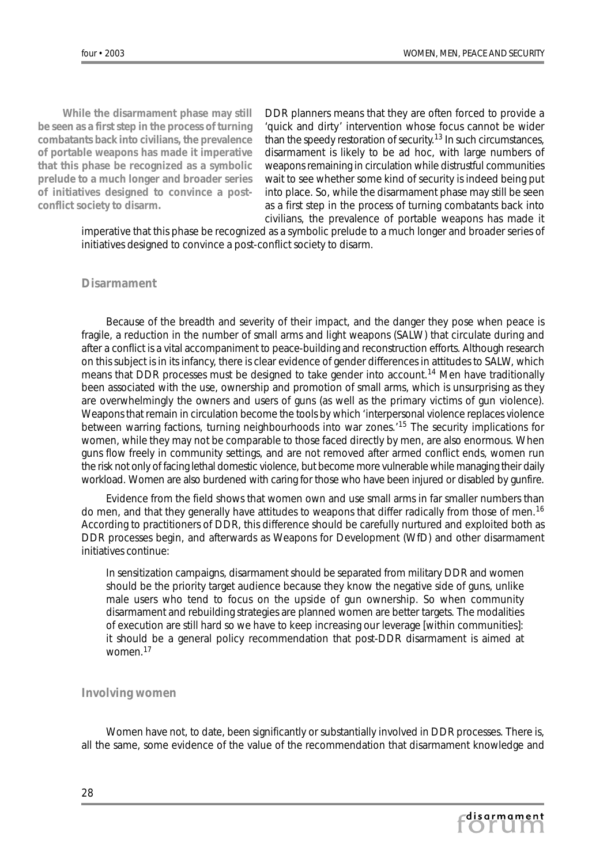*While the disarmament phase may still be seen as a first step in the process of turning combatants back into civilians, the prevalence of portable weapons has made it imperative that this phase be recognized as a symbolic prelude to a much longer and broader series of initiatives designed to convince a postconflict society to disarm.*

DDR planners means that they are often forced to provide a 'quick and dirty' intervention whose focus cannot be wider than the speedy restoration of security.13 In such circumstances, disarmament is likely to be ad hoc, with large numbers of weapons remaining in circulation while distrustful communities wait to see whether some kind of security is indeed being put into place. So, while the disarmament phase may still be seen as a first step in the process of turning combatants back into civilians, the prevalence of portable weapons has made it

imperative that this phase be recognized as a symbolic prelude to a much longer and broader series of initiatives designed to convince a post-conflict society to disarm.

### *Disarmament*

Because of the breadth and severity of their impact, and the danger they pose when peace is fragile, a reduction in the number of small arms and light weapons (SALW) that circulate during and after a conflict is a vital accompaniment to peace-building and reconstruction efforts. Although research on this subject is in its infancy, there is clear evidence of gender differences in attitudes to SALW, which means that DDR processes must be designed to take gender into account.<sup>14</sup> Men have traditionally been associated with the use, ownership and promotion of small arms, which is unsurprising as they are overwhelmingly the owners and users of guns (as well as the primary victims of gun violence). Weapons that remain in circulation become the tools by which 'interpersonal violence replaces violence between warring factions, turning neighbourhoods into war zones.'15 The security implications for women, while they may not be comparable to those faced directly by men, are also enormous. When guns flow freely in community settings, and are not removed after armed conflict ends, women run the risk not only of facing lethal domestic violence, but become more vulnerable while managing their daily workload. Women are also burdened with caring for those who have been injured or disabled by gunfire.

Evidence from the field shows that women own and use small arms in far smaller numbers than do men, and that they generally have attitudes to weapons that differ radically from those of men.<sup>16</sup> According to practitioners of DDR, this difference should be carefully nurtured and exploited both as DDR processes begin, and afterwards as Weapons for Development (WfD) and other disarmament initiatives continue:

In sensitization campaigns, disarmament should be separated from military DDR and women should be the priority target audience because they know the negative side of guns, unlike male users who tend to focus on the upside of gun ownership. So when community disarmament and rebuilding strategies are planned women are better targets. The modalities of execution are still hard so we have to keep increasing our leverage [within communities]: it should be a general policy recommendation that post-DDR disarmament is aimed at women.17

#### *Involving women*

Women have not, to date, been significantly or substantially involved in DDR processes. There is, all the same, some evidence of the value of the recommendation that disarmament knowledge and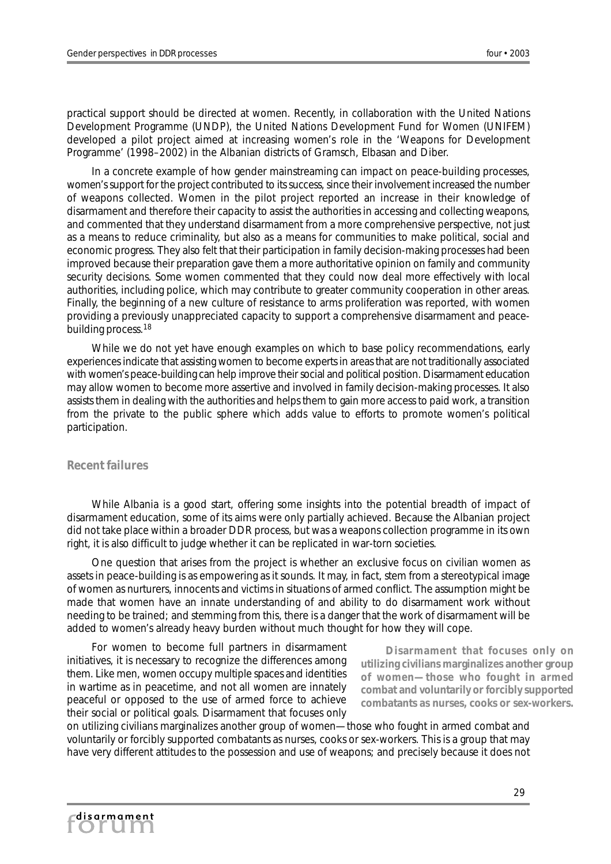practical support should be directed at women. Recently, in collaboration with the United Nations Development Programme (UNDP), the United Nations Development Fund for Women (UNIFEM) developed a pilot project aimed at increasing women's role in the 'Weapons for Development Programme' (1998–2002) in the Albanian districts of Gramsch, Elbasan and Diber.

In a concrete example of how gender mainstreaming can impact on peace-building processes, women's support for the project contributed to its success, since their involvement increased the number of weapons collected. Women in the pilot project reported an increase in their knowledge of disarmament and therefore their capacity to assist the authorities in accessing and collecting weapons, and commented that they understand disarmament from a more comprehensive perspective, not just as a means to reduce criminality, but also as a means for communities to make political, social and economic progress. They also felt that their participation in family decision-making processes had been improved because their preparation gave them a more authoritative opinion on family and community security decisions. Some women commented that they could now deal more effectively with local authorities, including police, which may contribute to greater community cooperation in other areas. Finally, the beginning of a new culture of resistance to arms proliferation was reported, with women providing a previously unappreciated capacity to support a comprehensive disarmament and peacebuilding process.<sup>18</sup>

While we do not yet have enough examples on which to base policy recommendations, early experiences indicate that assisting women to become experts in areas that are not traditionally associated with women's peace-building can help improve their social and political position. Disarmament education may allow women to become more assertive and involved in family decision-making processes. It also assists them in dealing with the authorities and helps them to gain more access to paid work, a transition from the private to the public sphere which adds value to efforts to promote women's political participation.

## *Recent failures*

While Albania is a good start, offering some insights into the potential breadth of impact of disarmament education, some of its aims were only partially achieved. Because the Albanian project did not take place within a broader DDR process, but was a weapons collection programme in its own right, it is also difficult to judge whether it can be replicated in war-torn societies.

One question that arises from the project is whether an exclusive focus on civilian women as assets in peace-building is as empowering as it sounds. It may, in fact, stem from a stereotypical image of women as nurturers, innocents and victims in situations of armed conflict. The assumption might be made that women have an innate understanding of and ability to do disarmament work without needing to be trained; and stemming from this, there is a danger that the work of disarmament will be added to women's already heavy burden without much thought for how they will cope.

For women to become full partners in disarmament initiatives, it is necessary to recognize the differences among them. Like men, women occupy multiple spaces and identities in wartime as in peacetime, and not all women are innately peaceful or opposed to the use of armed force to achieve their social or political goals. Disarmament that focuses only

*Disarmament that focuses only on utilizing civilians marginalizes another group of women—those who fought in armed combat and voluntarily or forcibly supported combatants as nurses, cooks or sex-workers.*

on utilizing civilians marginalizes another group of women—those who fought in armed combat and voluntarily or forcibly supported combatants as nurses, cooks or sex-workers. This is a group that may have very different attitudes to the possession and use of weapons; and precisely because it does not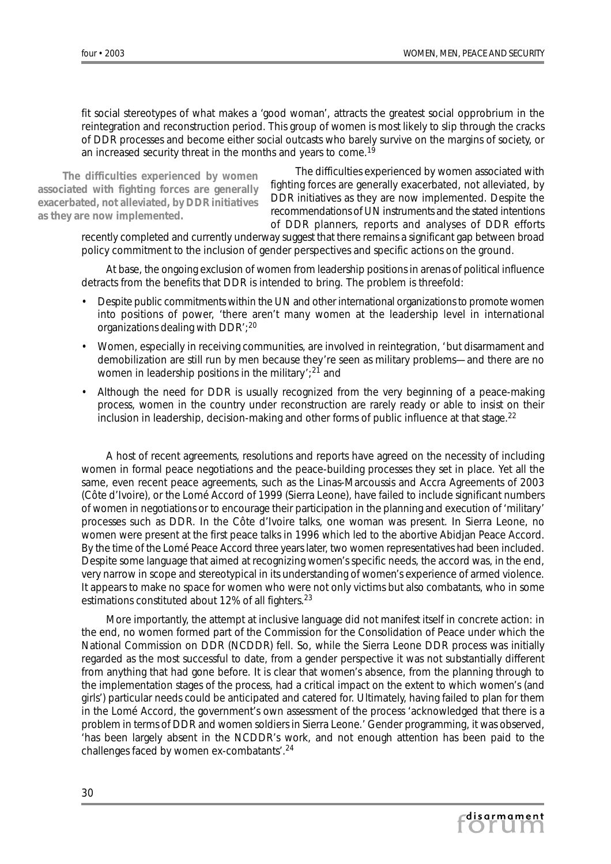fit social stereotypes of what makes a 'good woman', attracts the greatest social opprobrium in the reintegration and reconstruction period. This group of women is most likely to slip through the cracks of DDR processes and become either social outcasts who barely survive on the margins of society, or an increased security threat in the months and years to come.<sup>19</sup>

*The difficulties experienced by women associated with fighting forces are generally exacerbated, not alleviated, by DDR initiatives as they are now implemented.*

The difficulties experienced by women associated with fighting forces are generally exacerbated, not alleviated, by DDR initiatives as they are now implemented. Despite the recommendations of UN instruments and the stated intentions of DDR planners, reports and analyses of DDR efforts

recently completed and currently underway suggest that there remains a significant gap between broad policy commitment to the inclusion of gender perspectives and specific actions on the ground.

At base, the ongoing exclusion of women from leadership positions in arenas of political influence detracts from the benefits that DDR is intended to bring. The problem is threefold:

- Despite public commitments within the UN and other international organizations to promote women into positions of power, 'there aren't many women at the leadership level in international organizations dealing with DDR';20
- Women, especially in receiving communities, are involved in reintegration, 'but disarmament and demobilization are still run by men because they're seen as military problems—and there are no women in leadership positions in the military';<sup>21</sup> and
- Although the need for DDR is usually recognized from the very beginning of a peace-making process, women in the country under reconstruction are rarely ready or able to insist on their inclusion in leadership, decision-making and other forms of public influence at that stage.<sup>22</sup>

A host of recent agreements, resolutions and reports have agreed on the necessity of including women in formal peace negotiations and the peace-building processes they set in place. Yet all the same, even recent peace agreements, such as the Linas-Marcoussis and Accra Agreements of 2003 (Côte d'Ivoire), or the Lomé Accord of 1999 (Sierra Leone), have failed to include significant numbers of women in negotiations or to encourage their participation in the planning and execution of 'military' processes such as DDR. In the Côte d'Ivoire talks, one woman was present. In Sierra Leone, no women were present at the first peace talks in 1996 which led to the abortive Abidjan Peace Accord. By the time of the Lomé Peace Accord three years later, two women representatives had been included. Despite some language that aimed at recognizing women's specific needs, the accord was, in the end, very narrow in scope and stereotypical in its understanding of women's experience of armed violence. It appears to make no space for women who were not only victims but also combatants, who in some estimations constituted about 12% of all fighters.<sup>23</sup>

More importantly, the attempt at inclusive language did not manifest itself in concrete action: in the end, no women formed part of the Commission for the Consolidation of Peace under which the National Commission on DDR (NCDDR) fell. So, while the Sierra Leone DDR process was initially regarded as the most successful to date, from a gender perspective it was not substantially different from anything that had gone before. It is clear that women's absence, from the planning through to the implementation stages of the process, had a critical impact on the extent to which women's (and girls') particular needs could be anticipated and catered for. Ultimately, having failed to plan for them in the Lomé Accord, the government's own assessment of the process 'acknowledged that there is a problem in terms of DDR and women soldiers in Sierra Leone.' Gender programming, it was observed, 'has been largely absent in the NCDDR's work, and not enough attention has been paid to the challenges faced by women ex-combatants'.<sup>24</sup>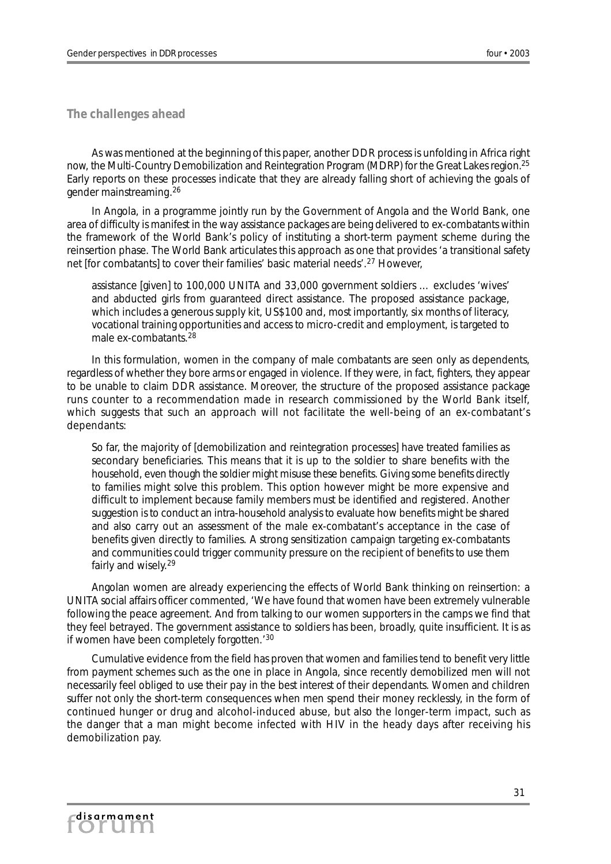*The challenges ahead*

As was mentioned at the beginning of this paper, another DDR process is unfolding in Africa right now, the Multi-Country Demobilization and Reintegration Program (MDRP) for the Great Lakes region.25 Early reports on these processes indicate that they are already falling short of achieving the goals of gender mainstreaming.26

In Angola, in a programme jointly run by the Government of Angola and the World Bank, one area of difficulty is manifest in the way assistance packages are being delivered to ex-combatants within the framework of the World Bank's policy of instituting a short-term payment scheme during the reinsertion phase. The World Bank articulates this approach as one that provides 'a transitional safety net [for combatants] to cover their families' basic material needs'.27 However,

assistance [given] to 100,000 UNITA and 33,000 government soldiers … excludes 'wives' and abducted girls from guaranteed direct assistance. The proposed assistance package, which includes a generous supply kit, US\$100 and, most importantly, six months of literacy, vocational training opportunities and access to micro-credit and employment, is targeted to male ex-combatants.<sup>28</sup>

In this formulation, women in the company of male combatants are seen only as dependents, regardless of whether they bore arms or engaged in violence. If they were, in fact, fighters, they appear to be unable to claim DDR assistance. Moreover, the structure of the proposed assistance package runs counter to a recommendation made in research commissioned by the World Bank itself, which suggests that such an approach will not facilitate the well-being of an ex-combatant's dependants:

So far, the majority of [demobilization and reintegration processes] have treated families as secondary beneficiaries. This means that it is up to the soldier to share benefits with the household, even though the soldier might misuse these benefits. Giving some benefits directly to families might solve this problem. This option however might be more expensive and difficult to implement because family members must be identified and registered. Another suggestion is to conduct an intra-household analysis to evaluate how benefits might be shared and also carry out an assessment of the male ex-combatant's acceptance in the case of benefits given directly to families. A strong sensitization campaign targeting ex-combatants and communities could trigger community pressure on the recipient of benefits to use them fairly and wisely.<sup>29</sup>

Angolan women are already experiencing the effects of World Bank thinking on reinsertion: a UNITA social affairs officer commented, 'We have found that women have been extremely vulnerable following the peace agreement. And from talking to our women supporters in the camps we find that they feel betrayed. The government assistance to soldiers has been, broadly, quite insufficient. It is as if women have been completely forgotten.'<sup>30</sup>

Cumulative evidence from the field has proven that women and families tend to benefit very little from payment schemes such as the one in place in Angola, since recently demobilized men will not necessarily feel obliged to use their pay in the best interest of their dependants. Women and children suffer not only the short-term consequences when men spend their money recklessly, in the form of continued hunger or drug and alcohol-induced abuse, but also the longer-term impact, such as the danger that a man might become infected with HIV in the heady days after receiving his demobilization pay.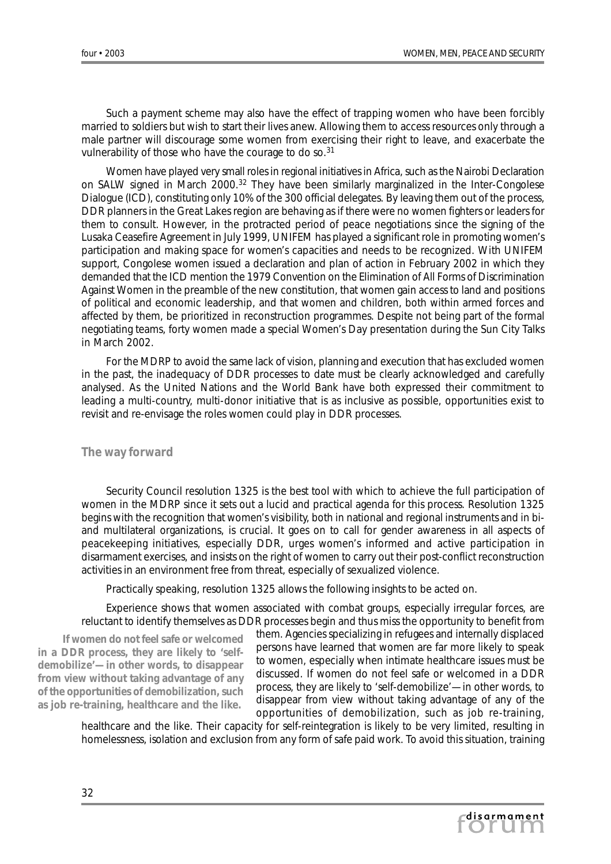Such a payment scheme may also have the effect of trapping women who have been forcibly married to soldiers but wish to start their lives anew. Allowing them to access resources only through a male partner will discourage some women from exercising their right to leave, and exacerbate the vulnerability of those who have the courage to do so.<sup>31</sup>

Women have played very small roles in regional initiatives in Africa, such as the Nairobi Declaration on SALW signed in March 2000.<sup>32</sup> They have been similarly marginalized in the Inter-Congolese Dialogue (ICD), constituting only 10% of the 300 official delegates. By leaving them out of the process, DDR planners in the Great Lakes region are behaving as if there were no women fighters or leaders for them to consult. However, in the protracted period of peace negotiations since the signing of the Lusaka Ceasefire Agreement in July 1999, UNIFEM has played a significant role in promoting women's participation and making space for women's capacities and needs to be recognized. With UNIFEM support, Congolese women issued a declaration and plan of action in February 2002 in which they demanded that the ICD mention the 1979 Convention on the Elimination of All Forms of Discrimination Against Women in the preamble of the new constitution, that women gain access to land and positions of political and economic leadership, and that women and children, both within armed forces and affected by them, be prioritized in reconstruction programmes. Despite not being part of the formal negotiating teams, forty women made a special Women's Day presentation during the Sun City Talks in March 2002.

For the MDRP to avoid the same lack of vision, planning and execution that has excluded women in the past, the inadequacy of DDR processes to date must be clearly acknowledged and carefully analysed. As the United Nations and the World Bank have both expressed their commitment to leading a multi-country, multi-donor initiative that is as inclusive as possible, opportunities exist to revisit and re-envisage the roles women could play in DDR processes.

#### *The way forward*

Security Council resolution 1325 is the best tool with which to achieve the full participation of women in the MDRP since it sets out a lucid and practical agenda for this process. Resolution 1325 begins with the recognition that women's visibility, both in national and regional instruments and in biand multilateral organizations, is crucial. It goes on to call for gender awareness in all aspects of peacekeeping initiatives, especially DDR, urges women's informed and active participation in disarmament exercises, and insists on the right of women to carry out their post-conflict reconstruction activities in an environment free from threat, especially of sexualized violence.

Practically speaking, resolution 1325 allows the following insights to be acted on.

Experience shows that women associated with combat groups, especially irregular forces, are reluctant to identify themselves as DDR processes begin and thus miss the opportunity to benefit from

*If women do not feel safe or welcomed in a DDR process, they are likely to 'selfdemobilize'—in other words, to disappear from view without taking advantage of any of the opportunities of demobilization, such as job re-training, healthcare and the like.*

them. Agencies specializing in refugees and internally displaced persons have learned that women are far more likely to speak to women, especially when intimate healthcare issues must be discussed. If women do not feel safe or welcomed in a DDR process, they are likely to 'self-demobilize'—in other words, to disappear from view without taking advantage of any of the opportunities of demobilization, such as job re-training,

healthcare and the like. Their capacity for self-reintegration is likely to be very limited, resulting in homelessness, isolation and exclusion from any form of safe paid work. To avoid this situation, training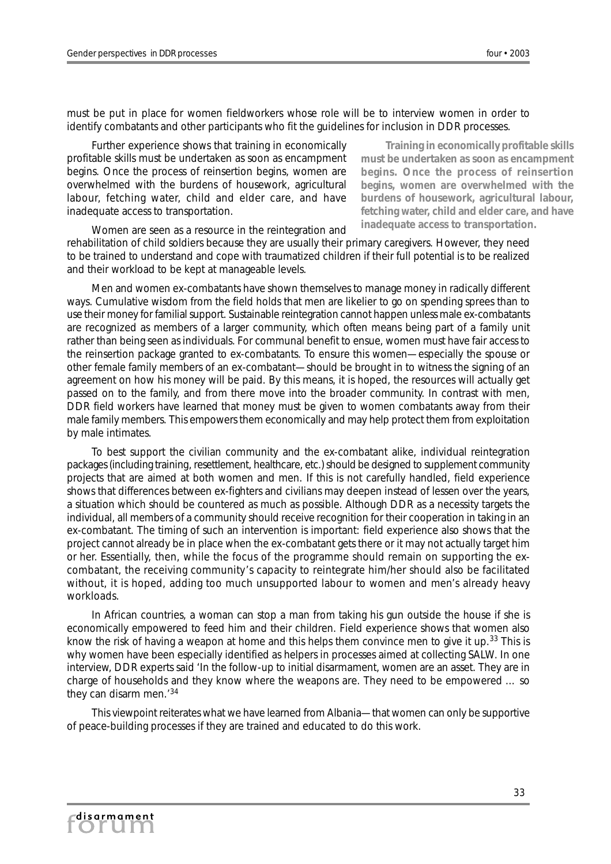must be put in place for women fieldworkers whose role will be to interview women in order to identify combatants and other participants who fit the guidelines for inclusion in DDR processes.

Further experience shows that training in economically profitable skills must be undertaken as soon as encampment begins. Once the process of reinsertion begins, women are overwhelmed with the burdens of housework, agricultural labour, fetching water, child and elder care, and have inadequate access to transportation.

*Training in economically profitable skills must be undertaken as soon as encampment begins. Once the process of reinsertion begins, women are overwhelmed with the burdens of housework, agricultural labour, fetching water, child and elder care, and have inadequate access to transportation.*

Women are seen as a resource in the reintegration and rehabilitation of child soldiers because they are usually their primary caregivers. However, they need to be trained to understand and cope with traumatized children if their full potential is to be realized and their workload to be kept at manageable levels.

Men and women ex-combatants have shown themselves to manage money in radically different ways. Cumulative wisdom from the field holds that men are likelier to go on spending sprees than to use their money for familial support. Sustainable reintegration cannot happen unless male ex-combatants are recognized as members of a larger community, which often means being part of a family unit rather than being seen as individuals. For communal benefit to ensue, women must have fair access to the reinsertion package granted to ex-combatants. To ensure this women—especially the spouse or other female family members of an ex-combatant—should be brought in to witness the signing of an agreement on how his money will be paid. By this means, it is hoped, the resources will actually get passed on to the family, and from there move into the broader community. In contrast with men, DDR field workers have learned that money must be given to women combatants away from their male family members. This empowers them economically and may help protect them from exploitation by male intimates.

To best support the civilian community and the ex-combatant alike, individual reintegration packages (including training, resettlement, healthcare, etc.) should be designed to supplement community projects that are aimed at both women and men. If this is not carefully handled, field experience shows that differences between ex-fighters and civilians may deepen instead of lessen over the years, a situation which should be countered as much as possible. Although DDR as a necessity targets the individual, all members of a community should receive recognition for their cooperation in taking in an ex-combatant. The timing of such an intervention is important: field experience also shows that the project cannot already be in place when the ex-combatant gets there or it may not actually target him or her. Essentially, then, while the focus of the programme should remain on supporting the excombatant, the receiving community's capacity to reintegrate him/her should also be facilitated without, it is hoped, adding too much unsupported labour to women and men's already heavy workloads.

In African countries, a woman can stop a man from taking his gun outside the house if she is economically empowered to feed him and their children. Field experience shows that women also know the risk of having a weapon at home and this helps them convince men to give it up.<sup>33</sup> This is why women have been especially identified as helpers in processes aimed at collecting SALW. In one interview, DDR experts said 'In the follow-up to initial disarmament, women are an asset. They are in charge of households and they know where the weapons are. They need to be empowered … so they can disarm men.'<sup>34</sup>

This viewpoint reiterates what we have learned from Albania—that women can only be supportive of peace-building processes if they are trained and educated to do this work.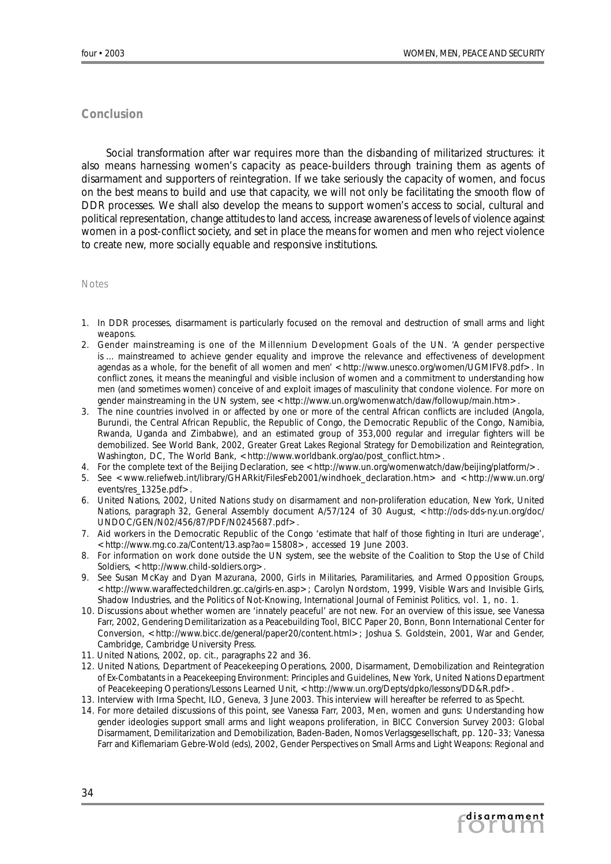### *Conclusion*

Social transformation after war requires more than the disbanding of militarized structures: it also means harnessing women's capacity as peace-builders through training them as agents of disarmament and supporters of reintegration. If we take seriously the capacity of women, and focus on the best means to build and use that capacity, we will not only be facilitating the smooth flow of DDR processes. We shall also develop the means to support women's access to social, cultural and political representation, change attitudes to land access, increase awareness of levels of violence against women in a post-conflict society, and set in place the means for women and men who reject violence to create new, more socially equable and responsive institutions.

#### Notes

- 1. In DDR processes, disarmament is particularly focused on the removal and destruction of small arms and light weapons.
- 2. Gender mainstreaming is one of the Millennium Development Goals of the UN. 'A gender perspective is … mainstreamed to achieve gender equality and improve the relevance and effectiveness of development agendas as a whole, for the benefit of all women and men' < http://www.unesco.org/women/UGMIFV8.pdf>. In conflict zones, it means the meaningful and visible inclusion of women and a commitment to understanding how men (and sometimes women) conceive of and exploit images of masculinity that condone violence. For more on gender mainstreaming in the UN system, see < http://www.un.org/womenwatch/daw/followup/main.htm>
- 3. The nine countries involved in or affected by one or more of the central African conflicts are included (Angola, Burundi, the Central African Republic, the Republic of Congo, the Democratic Republic of the Congo, Namibia, Rwanda, Uganda and Zimbabwe), and an estimated group of 353,000 regular and irregular fighters will be demobilized. See World Bank, 2002, *Greater Great Lakes Regional Strategy for Demobilization and Reintegration,* Washington, DC, The World Bank, < http://www.worldbank.org/ao/post\_conflict.htm>.
- 4. For the complete text of the Beijing Declaration, see < http://www.un.org/womenwatch/daw/beijing/platform/>.
- 5. See <www.reliefweb.int/library/GHARkit/FilesFeb2001/windhoek\_declaration.htm> and <http://www.un.org/ events/res\_1325e.pdf>.
- 6. United Nations, 2002, *United Nations study on disarmament and non-proliferation education,* New York, United Nations, paragraph 32, General Assembly document A/57/124 of 30 August, <http://ods-dds-ny.un.org/doc/ UNDOC/GEN/N02/456/87/PDF/N0245687.pdf>.
- 7. Aid workers in the Democratic Republic of the Congo 'estimate that half of those fighting in Ituri are underage', <http://www.mg.co.za/Content/13.asp?ao=15808>, accessed 19 June 2003.
- 8. For information on work done outside the UN system, see the website of the Coalition to Stop the Use of Child Soldiers, <http://www.child-soldiers.org>.
- 9. See Susan McKay and Dyan Mazurana, 2000, *Girls in Militaries, Paramilitaries, and Armed Opposition Groups*, <http://www.waraffectedchildren.gc.ca/girls-en.asp>; Carolyn Nordstom, 1999, Visible Wars and Invisible Girls, Shadow Industries, and the Politics of Not-Knowing, *International Journal of Feminist Politics,* vol. 1, no. 1.
- 10. Discussions about whether women are 'innately peaceful' are not new. For an overview of this issue, see Vanessa Farr, 2002, *Gendering Demilitarization as a Peacebuilding Tool,* BICC Paper 20, Bonn, Bonn International Center for Conversion, <http://www.bicc.de/general/paper20/content.html>; Joshua S. Goldstein, 2001, *War and Gender,* Cambridge, Cambridge University Press.
- 11. United Nations, 2002, *op. cit.,* paragraphs 22 and 36.
- 12. United Nations, Department of Peacekeeping Operations, 2000, *Disarmament, Demobilization and Reintegration of Ex-Combatants in a Peacekeeping Environment: Principles and Guidelines*, New York, United Nations Department of Peacekeeping Operations/Lessons Learned Unit, < http://www.un.org/Depts/dpko/lessons/DD&R.pdf>.
- 13. Interview with Irma Specht, ILO, Geneva, 3 June 2003. This interview will hereafter be referred to as Specht.
- 14. For more detailed discussions of this point, see Vanessa Farr, 2003, Men, women and guns: Understanding how gender ideologies support small arms and light weapons proliferation, in *BICC Conversion Survey 2003: Global Disarmament, Demilitarization and Demobilization,* Baden-Baden, Nomos Verlagsgesellschaft, pp. 120–33; Vanessa Farr and Kiflemariam Gebre-Wold (eds), 2002, *Gender Perspectives on Small Arms and Light Weapons: Regional and*